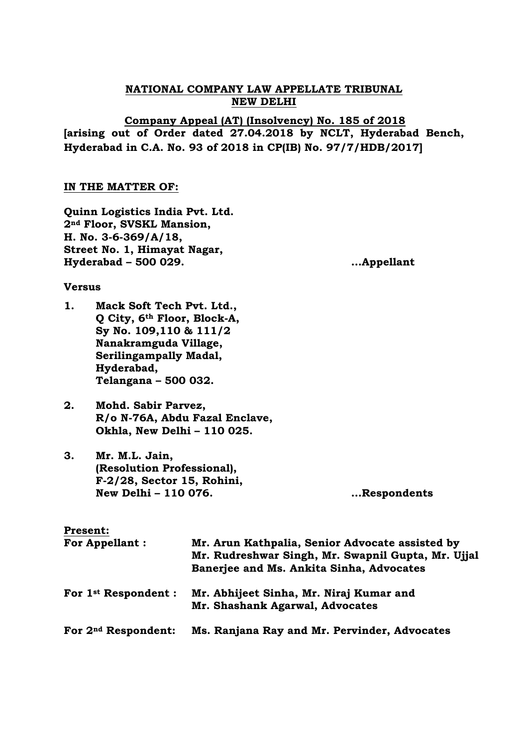# **NATIONAL COMPANY LAW APPELLATE TRIBUNAL NEW DELHI**

**Company Appeal (AT) (Insolvency) No. 185 of 2018 [arising out of Order dated 27.04.2018 by NCLT, Hyderabad Bench, Hyderabad in C.A. No. 93 of 2018 in CP(IB) No. 97/7/HDB/2017]**

# **IN THE MATTER OF:**

**Quinn Logistics India Pvt. Ltd. 2nd Floor, SVSKL Mansion, H. No. 3-6-369/A/18, Street No. 1, Himayat Nagar, Hyderabad – 500 029. …Appellant**

### **Versus**

- **1. Mack Soft Tech Pvt. Ltd., Q City, 6th Floor, Block-A, Sy No. 109,110 & 111/2 Nanakramguda Village, Serilingampally Madal, Hyderabad, Telangana – 500 032.**
- **2. Mohd. Sabir Parvez, R/o N-76A, Abdu Fazal Enclave, Okhla, New Delhi – 110 025.**
- **3. Mr. M.L. Jain, (Resolution Professional), F-2/28, Sector 15, Rohini, New Delhi – 110 076. …Respondents**

### **Present:**

| <b>For Appellant:</b>            | Mr. Arun Kathpalia, Senior Advocate assisted by<br>Mr. Rudreshwar Singh, Mr. Swapnil Gupta, Mr. Ujjal<br>Banerjee and Ms. Ankita Sinha, Advocates |  |
|----------------------------------|---------------------------------------------------------------------------------------------------------------------------------------------------|--|
| For 1 <sup>st</sup> Respondent : | Mr. Abhijeet Sinha, Mr. Niraj Kumar and<br>Mr. Shashank Agarwal, Advocates                                                                        |  |
| For 2 <sup>nd</sup> Respondent:  | Ms. Ranjana Ray and Mr. Pervinder, Advocates                                                                                                      |  |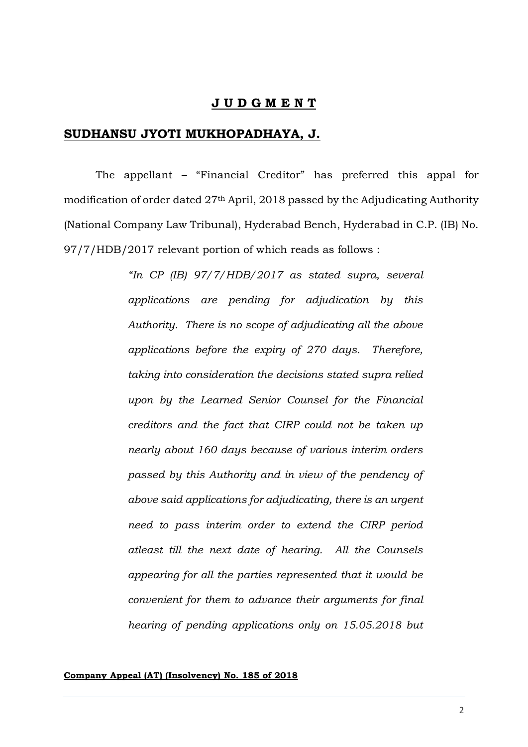# **J U D G M E N T**

## **SUDHANSU JYOTI MUKHOPADHAYA, J.**

The appellant – "Financial Creditor" has preferred this appal for modification of order dated 27th April, 2018 passed by the Adjudicating Authority (National Company Law Tribunal), Hyderabad Bench, Hyderabad in C.P. (IB) No. 97/7/HDB/2017 relevant portion of which reads as follows :

> *"In CP (IB) 97/7/HDB/2017 as stated supra, several applications are pending for adjudication by this Authority. There is no scope of adjudicating all the above applications before the expiry of 270 days. Therefore, taking into consideration the decisions stated supra relied upon by the Learned Senior Counsel for the Financial creditors and the fact that CIRP could not be taken up nearly about 160 days because of various interim orders passed by this Authority and in view of the pendency of above said applications for adjudicating, there is an urgent need to pass interim order to extend the CIRP period atleast till the next date of hearing. All the Counsels appearing for all the parties represented that it would be convenient for them to advance their arguments for final hearing of pending applications only on 15.05.2018 but*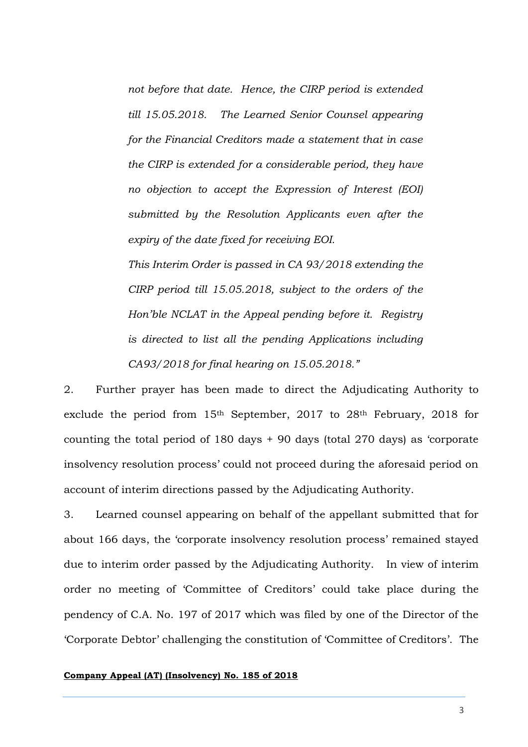*not before that date. Hence, the CIRP period is extended till 15.05.2018. The Learned Senior Counsel appearing for the Financial Creditors made a statement that in case the CIRP is extended for a considerable period, they have no objection to accept the Expression of Interest (EOI) submitted by the Resolution Applicants even after the expiry of the date fixed for receiving EOI.*

*This Interim Order is passed in CA 93/2018 extending the CIRP period till 15.05.2018, subject to the orders of the Hon'ble NCLAT in the Appeal pending before it. Registry is directed to list all the pending Applications including CA93/2018 for final hearing on 15.05.2018."*

2. Further prayer has been made to direct the Adjudicating Authority to exclude the period from 15th September, 2017 to 28th February, 2018 for counting the total period of 180 days + 90 days (total 270 days) as 'corporate insolvency resolution process' could not proceed during the aforesaid period on account of interim directions passed by the Adjudicating Authority.

3. Learned counsel appearing on behalf of the appellant submitted that for about 166 days, the 'corporate insolvency resolution process' remained stayed due to interim order passed by the Adjudicating Authority. In view of interim order no meeting of 'Committee of Creditors' could take place during the pendency of C.A. No. 197 of 2017 which was filed by one of the Director of the 'Corporate Debtor' challenging the constitution of 'Committee of Creditors'. The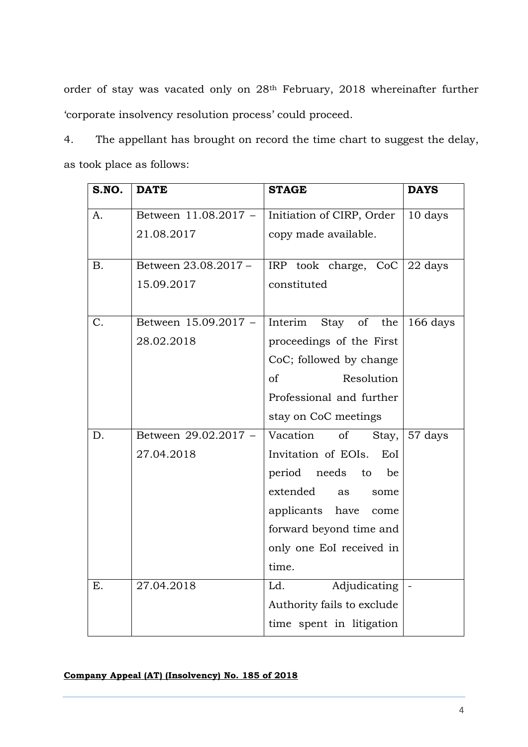order of stay was vacated only on 28th February, 2018 whereinafter further 'corporate insolvency resolution process' could proceed.

4. The appellant has brought on record the time chart to suggest the delay, as took place as follows:

| S.NO.     | <b>DATE</b>          | <b>STAGE</b>                  | <b>DAYS</b> |
|-----------|----------------------|-------------------------------|-------------|
| A.        | Between 11.08.2017 - | Initiation of CIRP, Order     | 10 days     |
|           | 21.08.2017           | copy made available.          |             |
| <b>B.</b> | Between 23.08.2017 - | IRP took charge, CoC          | 22 days     |
|           | 15.09.2017           | constituted                   |             |
| C.        | Between 15.09.2017 - | Interim Stay of the           | 166 days    |
|           | 28.02.2018           | proceedings of the First      |             |
|           |                      | CoC; followed by change       |             |
|           |                      | Resolution<br><sub>of</sub>   |             |
|           |                      | Professional and further      |             |
|           |                      | stay on CoC meetings          |             |
| D.        | Between 29.02.2017 - | Vacation<br>of<br>Stay,       | 57 days     |
|           | 27.04.2018           | Invitation of EOIs.<br>EoI    |             |
|           |                      | period needs<br>to<br>be      |             |
|           |                      | extended<br><b>as</b><br>some |             |
|           |                      | applicants have<br>come       |             |
|           |                      | forward beyond time and       |             |
|           |                      | only one EoI received in      |             |
|           |                      | time.                         |             |
| Ε.        | 27.04.2018           | Ld.<br>Adjudicating           |             |
|           |                      | Authority fails to exclude    |             |
|           |                      | time spent in litigation      |             |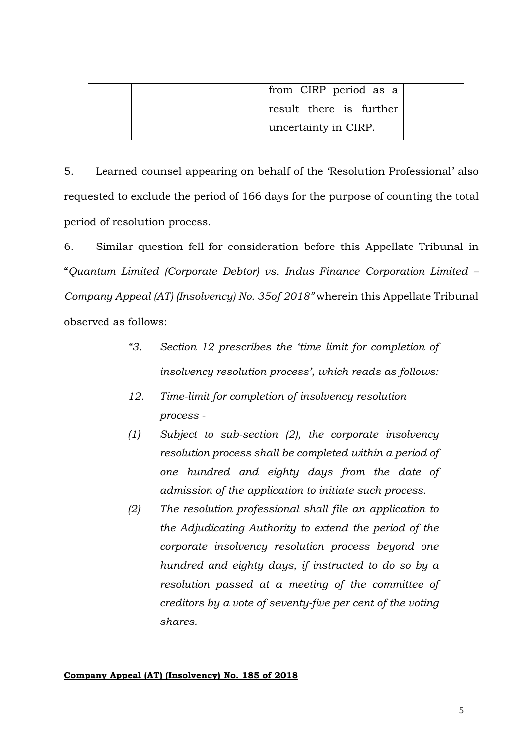|  | from CIRP period as a   |  |
|--|-------------------------|--|
|  | result there is further |  |
|  | uncertainty in CIRP.    |  |

5. Learned counsel appearing on behalf of the 'Resolution Professional' also requested to exclude the period of 166 days for the purpose of counting the total period of resolution process.

6. Similar question fell for consideration before this Appellate Tribunal in "*Quantum Limited (Corporate Debtor) vs. Indus Finance Corporation Limited – Company Appeal (AT) (Insolvency) No. 35of 2018"* wherein this Appellate Tribunal observed as follows:

- *"3. Section 12 prescribes the 'time limit for completion of insolvency resolution process', which reads as follows:*
- *12. Time-limit for completion of insolvency resolution process -*
- *(1) Subject to sub-section (2), the corporate insolvency resolution process shall be completed within a period of one hundred and eighty days from the date of admission of the application to initiate such process.*
- *(2) The resolution professional shall file an application to the Adjudicating Authority to extend the period of the corporate insolvency resolution process beyond one hundred and eighty days, if instructed to do so by a resolution passed at a meeting of the committee of creditors by a vote of seventy-five per cent of the voting shares.*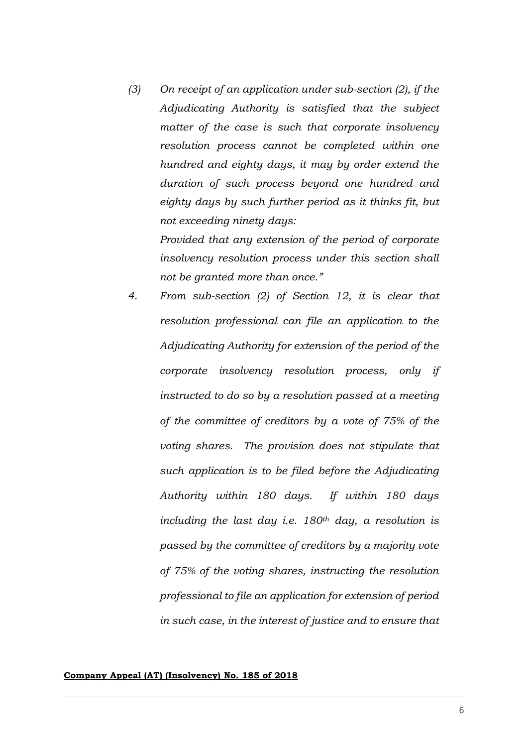*(3) On receipt of an application under sub-section (2), if the Adjudicating Authority is satisfied that the subject matter of the case is such that corporate insolvency resolution process cannot be completed within one hundred and eighty days, it may by order extend the duration of such process beyond one hundred and eighty days by such further period as it thinks fit, but not exceeding ninety days:* 

> *Provided that any extension of the period of corporate insolvency resolution process under this section shall not be granted more than once."*

*4. From sub-section (2) of Section 12, it is clear that resolution professional can file an application to the Adjudicating Authority for extension of the period of the corporate insolvency resolution process, only if instructed to do so by a resolution passed at a meeting of the committee of creditors by a vote of 75% of the voting shares. The provision does not stipulate that such application is to be filed before the Adjudicating Authority within 180 days. If within 180 days including the last day i.e. 180th day, a resolution is passed by the committee of creditors by a majority vote of 75% of the voting shares, instructing the resolution professional to file an application for extension of period in such case, in the interest of justice and to ensure that*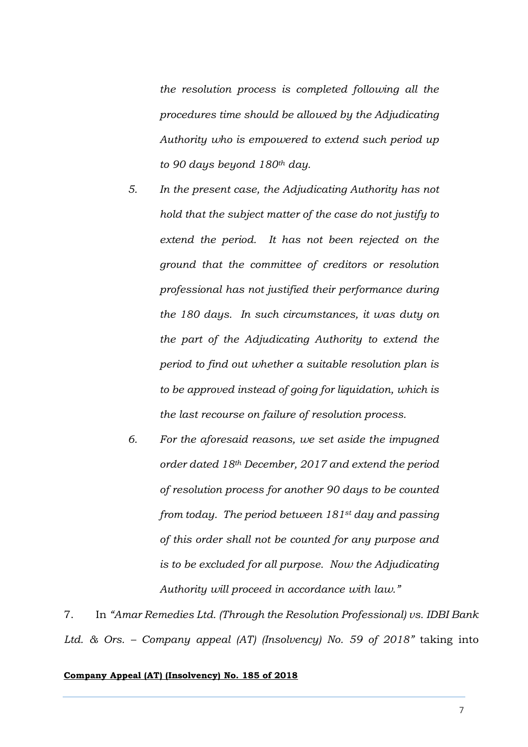*the resolution process is completed following all the procedures time should be allowed by the Adjudicating Authority who is empowered to extend such period up to 90 days beyond 180th day.* 

- *5. In the present case, the Adjudicating Authority has not hold that the subject matter of the case do not justify to extend the period. It has not been rejected on the ground that the committee of creditors or resolution professional has not justified their performance during the 180 days. In such circumstances, it was duty on the part of the Adjudicating Authority to extend the period to find out whether a suitable resolution plan is to be approved instead of going for liquidation, which is the last recourse on failure of resolution process.*
- *6. For the aforesaid reasons, we set aside the impugned order dated 18th December, 2017 and extend the period of resolution process for another 90 days to be counted from today. The period between 181st day and passing of this order shall not be counted for any purpose and is to be excluded for all purpose. Now the Adjudicating Authority will proceed in accordance with law."*

7. In *"Amar Remedies Ltd. (Through the Resolution Professional) vs. IDBI Bank Ltd. & Ors. – Company appeal (AT) (Insolvency) No. 59 of 2018"* taking into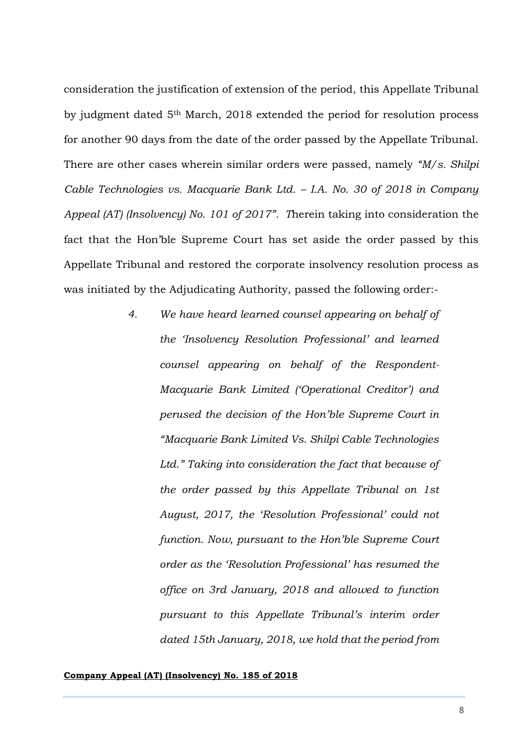consideration the justification of extension of the period, this Appellate Tribunal by judgment dated 5th March, 2018 extended the period for resolution process for another 90 days from the date of the order passed by the Appellate Tribunal. There are other cases wherein similar orders were passed, namely *"M/s. Shilpi Cable Technologies vs. Macquarie Bank Ltd. – I.A. No. 30 of 2018 in Company Appeal (AT) (Insolvency) No. 101 of 2017". T*herein taking into consideration the fact that the Hon'ble Supreme Court has set aside the order passed by this Appellate Tribunal and restored the corporate insolvency resolution process as was initiated by the Adjudicating Authority, passed the following order:-

> *4. We have heard learned counsel appearing on behalf of the 'Insolvency Resolution Professional' and learned counsel appearing on behalf of the Respondent-Macquarie Bank Limited ('Operational Creditor') and perused the decision of the Hon'ble Supreme Court in "Macquarie Bank Limited Vs. Shilpi Cable Technologies Ltd." Taking into consideration the fact that because of the order passed by this Appellate Tribunal on 1st August, 2017, the 'Resolution Professional' could not function. Now, pursuant to the Hon'ble Supreme Court order as the 'Resolution Professional' has resumed the office on 3rd January, 2018 and allowed to function pursuant to this Appellate Tribunal's interim order dated 15th January, 2018, we hold that the period from*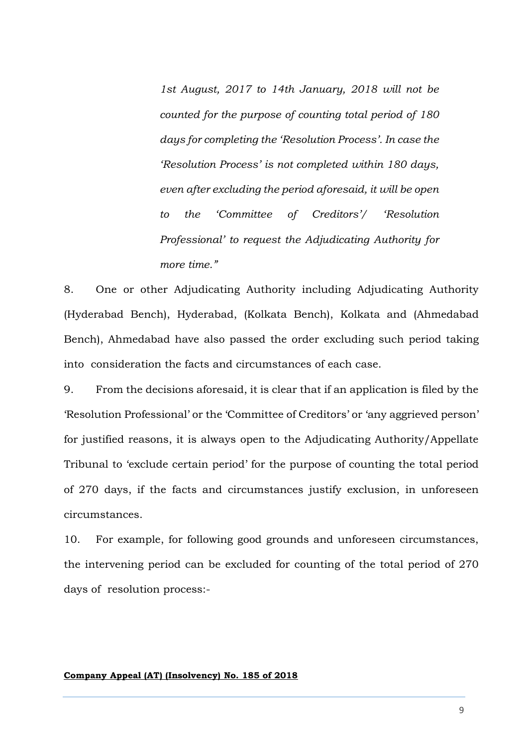*1st August, 2017 to 14th January, 2018 will not be counted for the purpose of counting total period of 180 days for completing the 'Resolution Process'. In case the 'Resolution Process' is not completed within 180 days, even after excluding the period aforesaid, it will be open to the 'Committee of Creditors'/ 'Resolution Professional' to request the Adjudicating Authority for more time."*

8. One or other Adjudicating Authority including Adjudicating Authority (Hyderabad Bench), Hyderabad, (Kolkata Bench), Kolkata and (Ahmedabad Bench), Ahmedabad have also passed the order excluding such period taking into consideration the facts and circumstances of each case.

9. From the decisions aforesaid, it is clear that if an application is filed by the 'Resolution Professional' or the 'Committee of Creditors' or 'any aggrieved person' for justified reasons, it is always open to the Adjudicating Authority/Appellate Tribunal to 'exclude certain period' for the purpose of counting the total period of 270 days, if the facts and circumstances justify exclusion, in unforeseen circumstances.

10. For example, for following good grounds and unforeseen circumstances, the intervening period can be excluded for counting of the total period of 270 days of resolution process:-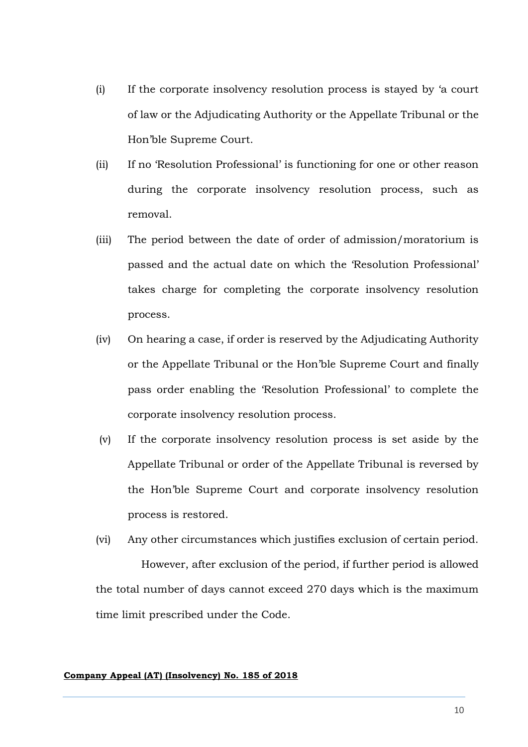- (i) If the corporate insolvency resolution process is stayed by 'a court of law or the Adjudicating Authority or the Appellate Tribunal or the Hon'ble Supreme Court.
- (ii) If no 'Resolution Professional' is functioning for one or other reason during the corporate insolvency resolution process, such as removal.
- (iii) The period between the date of order of admission/moratorium is passed and the actual date on which the 'Resolution Professional' takes charge for completing the corporate insolvency resolution process.
- (iv) On hearing a case, if order is reserved by the Adjudicating Authority or the Appellate Tribunal or the Hon'ble Supreme Court and finally pass order enabling the 'Resolution Professional' to complete the corporate insolvency resolution process.
- (v) If the corporate insolvency resolution process is set aside by the Appellate Tribunal or order of the Appellate Tribunal is reversed by the Hon'ble Supreme Court and corporate insolvency resolution process is restored.
- (vi) Any other circumstances which justifies exclusion of certain period.

 However, after exclusion of the period, if further period is allowed the total number of days cannot exceed 270 days which is the maximum time limit prescribed under the Code.